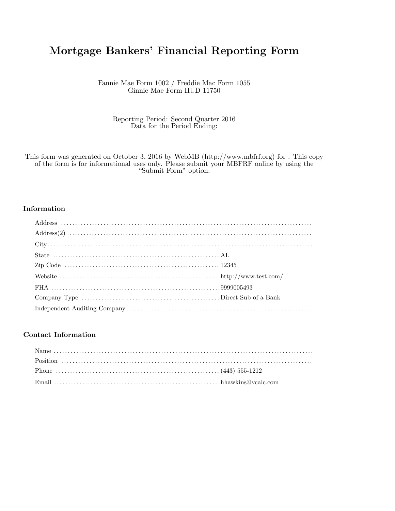# Mortgage Bankers' Financial Reporting Form

Fannie Mae Form 1002 / Freddie Mac Form 1055 Ginnie Mae Form HUD 11750

Reporting Period: Second Quarter 2016 Data for the Period Ending:

This form was generated on October 3, 2016 by WebMB (http://www.mbfrf.org) for . This copy of the form is for informational uses only. Please submit your MBFRF online by using the "Submit Form" option.

#### Information

#### Contact Information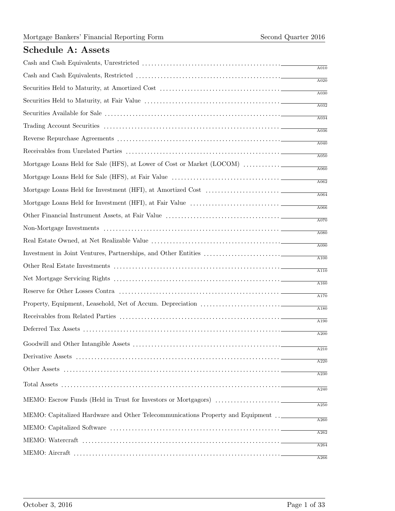## Schedule A: Assets

|                                                                                   | A010              |
|-----------------------------------------------------------------------------------|-------------------|
|                                                                                   | A020              |
|                                                                                   | A030              |
|                                                                                   | A032              |
|                                                                                   | A034              |
|                                                                                   | A036              |
|                                                                                   | A040              |
| Mortgage Loans Held for Sale (HFS), at Lower of Cost or Market (LOCOM)            | A050              |
|                                                                                   | A060              |
|                                                                                   | A062              |
|                                                                                   | A064              |
|                                                                                   | A066              |
|                                                                                   | A070              |
|                                                                                   | A080              |
|                                                                                   | A090              |
|                                                                                   | $\overline{A100}$ |
|                                                                                   | A110              |
|                                                                                   | A160              |
|                                                                                   | A170              |
|                                                                                   | A180              |
|                                                                                   | A190              |
|                                                                                   | A200              |
|                                                                                   | A210              |
|                                                                                   | A220              |
|                                                                                   | A230              |
|                                                                                   | A240              |
|                                                                                   |                   |
| MEMO: Capitalized Hardware and Other Telecommunications Property and Equipment __ | A250              |
|                                                                                   | A260              |
|                                                                                   | A262              |
|                                                                                   | A264              |
|                                                                                   | $\overline{A266}$ |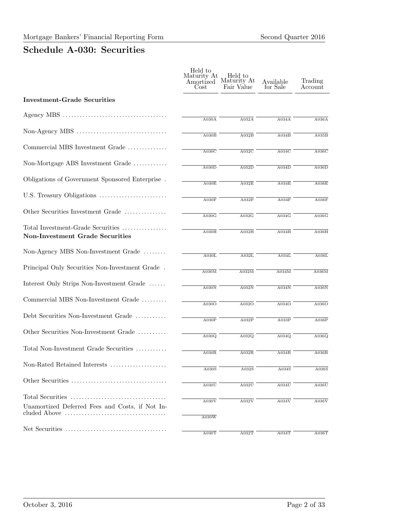# Schedule A-030: Securities

|                                                                                                                      | Held to<br>Maturity At<br>Amortized<br>Cost | Held to<br>Maturity At<br>Fair Value | Available<br>for Sale | Trading<br>Account |
|----------------------------------------------------------------------------------------------------------------------|---------------------------------------------|--------------------------------------|-----------------------|--------------------|
| <b>Investment-Grade Securities</b>                                                                                   |                                             |                                      |                       |                    |
|                                                                                                                      | A030A                                       | A032A                                | A034A                 | A036A              |
|                                                                                                                      | A030B                                       | A032B                                | A034B                 | A035B              |
| Commercial MBS Investment Grade                                                                                      | A030C                                       | A032C                                | A034C                 | A036C              |
| Non-Mortgage ABS Investment Grade                                                                                    | $\overline{\text{A030D}}$                   | A032D                                | A034D                 | A036D              |
| Obligations of Government Sponsored Enterprise.                                                                      | A030E                                       | A032E                                | A034E                 | A036E              |
|                                                                                                                      | A030F                                       | A032F                                | $\overline{A034F}$    | A036F              |
| Other Securities Investment Grade                                                                                    | A030G                                       | A032G                                | A034G                 | A036G              |
| Total Investment-Grade Securities<br><b>Non-Investment Grade Securities</b>                                          | A030H                                       | A032H                                | A034H                 | A036H              |
| Non-Agency MBS Non-Investment Grade                                                                                  | A030L                                       | A032L                                | A034L                 | A036L              |
| Principal Only Securities Non-Investment Grade.                                                                      | A030M                                       | A032M                                | A034M                 | A036M              |
| Interest Only Strips Non-Investment Grade                                                                            | A030N                                       | A032N                                | A034N                 | A036N              |
| Commercial MBS Non-Investment Grade                                                                                  | A030O                                       | A032O                                | A034O                 | A036O              |
| Debt Securities Non-Investment Grade                                                                                 | $\overline{A030P}$                          | A032P                                | A033P                 | A036P              |
| Other Securities Non-Investment Grade                                                                                | A030Q                                       | A032Q                                | A034Q                 | A036Q              |
| Total Non-Investment Grade Securities                                                                                | A030R                                       | A032R                                | A034R                 | A036R              |
| Non-Rated Retained Interests                                                                                         | A030S                                       | A032S                                | A034S                 | A036S              |
|                                                                                                                      | A030U                                       | A032U                                | A034U                 | A036U              |
|                                                                                                                      |                                             |                                      |                       |                    |
| Unamortized Deferred Fees and Costs, if Not In-<br>cluded Above $\dots\dots\dots\dots\dots\dots\dots\dots\dots\dots$ | A030V                                       | A032V                                | A034V                 | A036V              |
|                                                                                                                      | A030W                                       |                                      |                       |                    |
|                                                                                                                      | A030T                                       | A032T                                | A034T                 | A036T              |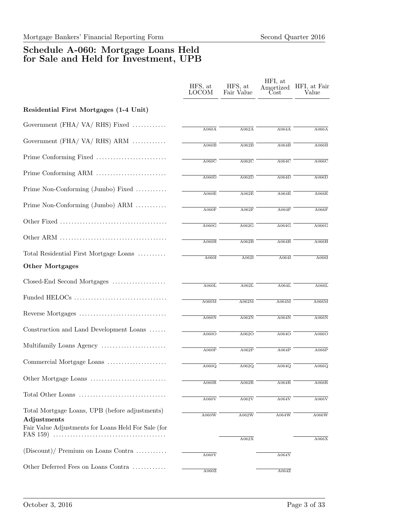### Schedule A-060: Mortgage Loans Held for Sale and Held for Investment, UPB

|                                                                                                                      | HFS, at<br><b>LOCOM</b>   | HFS, at<br>Fair Value                | HFI, at<br>Amortized<br>$\rm Cost$ | HFI, at Fair<br>Value |
|----------------------------------------------------------------------------------------------------------------------|---------------------------|--------------------------------------|------------------------------------|-----------------------|
| Residential First Mortgages (1-4 Unit)                                                                               |                           |                                      |                                    |                       |
| Government (FHA/VA/RHS) Fixed                                                                                        | A060A                     | A062A                                | A064A                              | A066A                 |
| Government $(FHA / VA / RHS)$ ARM                                                                                    | A060B                     | A062B                                | A064B                              | A066B                 |
|                                                                                                                      | A060C                     | A062C                                | A064C                              | A066C                 |
|                                                                                                                      | $\overline{A060D}$        | A062D                                | A064D                              | A066D                 |
| Prime Non-Conforming (Jumbo) Fixed                                                                                   | A060E                     | A062E                                | A064E                              | A066E                 |
| Prime Non-Conforming (Jumbo) ARM                                                                                     | $\overline{\text{A060F}}$ | A062F                                | A064F                              | A066F                 |
|                                                                                                                      | A060G                     | $\overline{\mathrm{A}062\mathrm{G}}$ | A064G                              | A066G                 |
|                                                                                                                      | A060H                     | A062H                                | A064H                              | A066H                 |
| Total Residential First Mortgage Loans                                                                               | $\overline{A060I}$        | $\overline{A062I}$                   | $\overline{A064I}$                 | A066I                 |
| <b>Other Mortgages</b>                                                                                               |                           |                                      |                                    |                       |
| Closed-End Second Mortgages                                                                                          | A060L                     | A062L                                | A064L                              | A066L                 |
|                                                                                                                      | A060M                     | A062M                                | A064M                              | A066M                 |
|                                                                                                                      | A060N                     | A062N                                | A064N                              | A066N                 |
| Construction and Land Development Loans                                                                              | A060O                     | A062O                                | A064O                              | A066O                 |
| Multifamily Loans Agency                                                                                             | A060P                     | A062P                                | A064P                              | A066P                 |
| Commercial Mortgage Loans                                                                                            | A060Q                     | A062Q                                | A064Q                              | $\overline{A066Q}$    |
|                                                                                                                      | A060R                     | A062R                                | A064R                              | A066R                 |
| Total Other Loans                                                                                                    | A060V                     | A062V                                | A064V                              | A066V                 |
| Total Mortgage Loans, UPB (before adjustments)<br>Adjustments<br>Fair Value Adjustments for Loans Held For Sale (for | A060W                     | A062W                                | A064W                              | A066W                 |
|                                                                                                                      |                           | A062X                                |                                    | A066X                 |
| (Discount)/ Premium on Loans Contra                                                                                  | A060Y                     |                                      | A064Y                              |                       |
| Other Deferred Fees on Loans Contra                                                                                  | A060Z                     |                                      | A064Z                              |                       |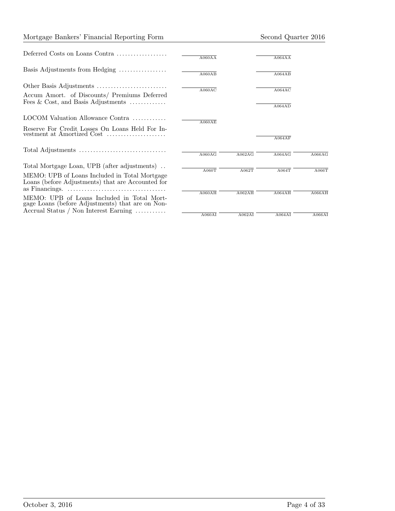#### Mortgage Bankers' Financial Reporting Form Second Quarter 2016

| Deferred Costs on Loans Contra                                                                                                          | A060AA |        | A064AA |        |
|-----------------------------------------------------------------------------------------------------------------------------------------|--------|--------|--------|--------|
| Basis Adjustments from Hedging                                                                                                          | A060AB |        | A064AB |        |
| Accum Amort. of Discounts/ Premiums Deferred                                                                                            | A060AC |        | A064AC |        |
| Fees $& Cost, and Basis Adjustments \ldots \ldots \ldots$                                                                               |        |        | A064AD |        |
| LOCOM Valuation Allowance Contra                                                                                                        | A060AE |        |        |        |
| Reserve For Credit Losses On Loans Held For In-<br>vestment at Amortized Cost                                                           |        |        | A064AF |        |
|                                                                                                                                         | A060AG | A062AG | A064AG | A066AG |
| Total Mortgage Loan, UPB (after adjustments)<br>MEMO: UPB of Loans Included in Total Mortgage                                           | A060T  | A062T  | A064T  | A066T  |
| Loans (before Adjustments) that are Accounted for<br>as Financings. $\dots \dots \dots \dots \dots \dots \dots \dots \dots \dots \dots$ | A060AH | A062AH | A064AH | A066AH |
| MEMO: UPB of Loans Included in Total Mort-<br>gage Loans (before Adjustments) that are on Non-<br>Accrual Status / Non Interest Earning |        |        |        |        |
|                                                                                                                                         | A060AI | A062AI | A064AI | A066AI |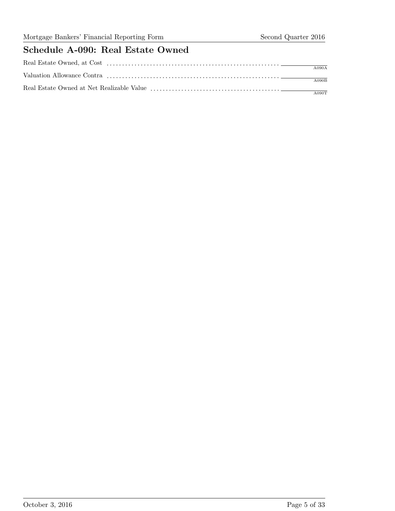## Schedule A-090: Real Estate Owned

| A090A |
|-------|
| A090B |
| A090T |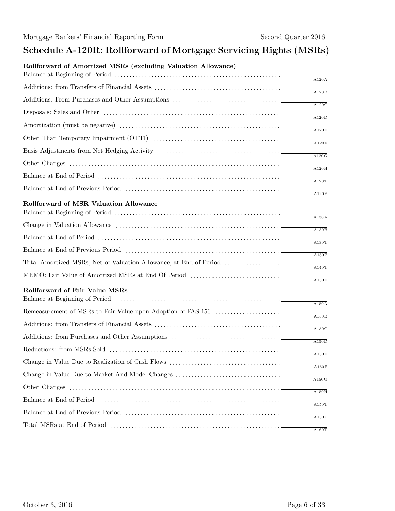## Schedule A-120R: Rollforward of Mortgage Servicing Rights (MSRs)

#### Rollforward of Amortized MSRs (excluding Valuation Allowance)

|                                               | A120A              |
|-----------------------------------------------|--------------------|
|                                               | A120B              |
|                                               | $\overline{A120C}$ |
|                                               | A120D              |
|                                               | A120E              |
|                                               |                    |
|                                               | A120F              |
|                                               | A120G              |
|                                               | A120H              |
|                                               | A120T              |
| <b>Rollforward of MSR Valuation Allowance</b> | A120P              |
|                                               |                    |
|                                               | A130A              |
|                                               | A130B              |
|                                               | A130T              |
|                                               | A130P              |
|                                               | A140T              |
|                                               | A130E              |
| Rollforward of Fair Value MSRs                |                    |
|                                               | A150A              |
|                                               | A150B              |
|                                               | $\overline{A150}C$ |
|                                               | A150D              |
|                                               | A150E              |
|                                               | A150F              |
|                                               | A150G              |
|                                               | A150H              |
|                                               | $\overline{A150T}$ |
|                                               | A150P              |
|                                               | A160T              |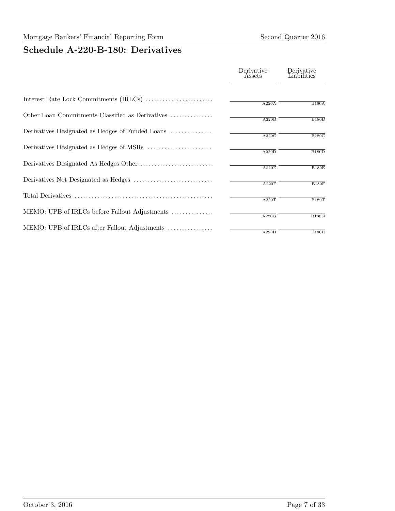#### Mortgage Bankers' Financial Reporting Form Second Quarter 2016

## Schedule A-220-B-180: Derivatives

|                                                  | Derivative<br>Assets      | Derivative<br>Liabilities |
|--------------------------------------------------|---------------------------|---------------------------|
|                                                  | A220A                     | B180A                     |
| Other Loan Commitments Classified as Derivatives | A220B                     | B180B                     |
| Derivatives Designated as Hedges of Funded Loans | A220C                     | $\overline{B180C}$        |
|                                                  | $\overline{\text{A220D}}$ | B180D                     |
|                                                  | A220E                     | <b>B180E</b>              |
|                                                  | A220F                     | B180F                     |
|                                                  | A220T                     | B180T                     |
| MEMO: UPB of IRLCs before Fallout Adjustments    | A220G                     | B180G                     |
| MEMO: UPB of IRLCs after Fallout Adjustments     | A220H                     | B180H                     |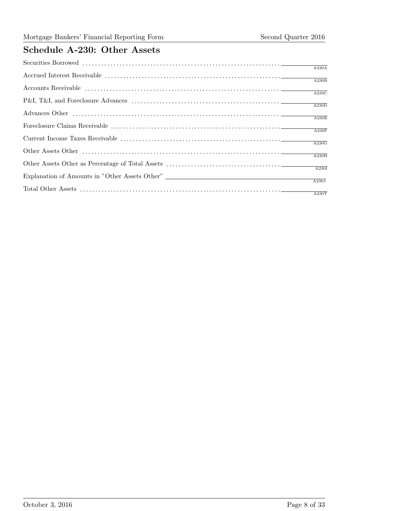## Schedule A-230: Other Assets

| $\overline{A230A}$               |
|----------------------------------|
| $\overline{\text{A}230\text{B}}$ |
| $\overline{\text{A}230\text{C}}$ |
|                                  |
| $\overline{A230D}$               |
| $\overline{A230E}$               |
|                                  |
| $\overline{A230F}$               |
| $\overline{A230G}$               |
|                                  |
| A230H                            |
|                                  |
|                                  |
| A230J                            |
| $\overline{A230T}$               |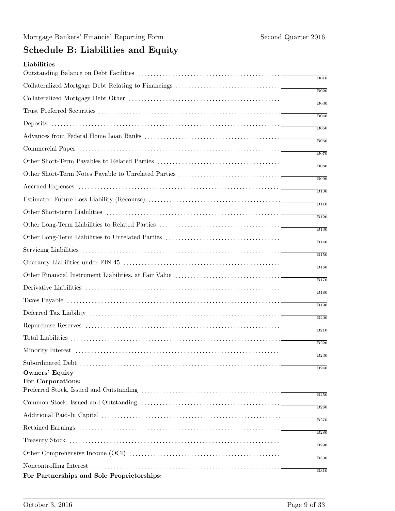# Schedule B: Liabilities and Equity

|                                                                                                                        | B010        |
|------------------------------------------------------------------------------------------------------------------------|-------------|
|                                                                                                                        | B020        |
|                                                                                                                        | <b>B030</b> |
|                                                                                                                        | B040        |
|                                                                                                                        | <b>B050</b> |
|                                                                                                                        | <b>B060</b> |
|                                                                                                                        |             |
|                                                                                                                        | <b>B070</b> |
|                                                                                                                        | <b>B080</b> |
|                                                                                                                        | <b>B090</b> |
|                                                                                                                        | B100        |
|                                                                                                                        | <b>B110</b> |
|                                                                                                                        | <b>B120</b> |
|                                                                                                                        | <b>B130</b> |
|                                                                                                                        | <b>B140</b> |
|                                                                                                                        | <b>B150</b> |
|                                                                                                                        | <b>B160</b> |
|                                                                                                                        | <b>B170</b> |
|                                                                                                                        | <b>B180</b> |
|                                                                                                                        | <b>B190</b> |
|                                                                                                                        | <b>B200</b> |
|                                                                                                                        | <b>B210</b> |
|                                                                                                                        | <b>B220</b> |
|                                                                                                                        | <b>B230</b> |
| <b>Owners' Equity</b>                                                                                                  | <b>B240</b> |
| For Corporations:                                                                                                      |             |
| Preferred Stock, Issued and Outstanding $\ldots \ldots \ldots \ldots \ldots \ldots \ldots \ldots \ldots \ldots \ldots$ | <b>B250</b> |
|                                                                                                                        | <b>B260</b> |
|                                                                                                                        | <b>B270</b> |
|                                                                                                                        | <b>B280</b> |
|                                                                                                                        | B290        |
|                                                                                                                        | <b>B300</b> |
|                                                                                                                        | <b>B310</b> |
| For Partnerships and Sole Proprietorships:                                                                             |             |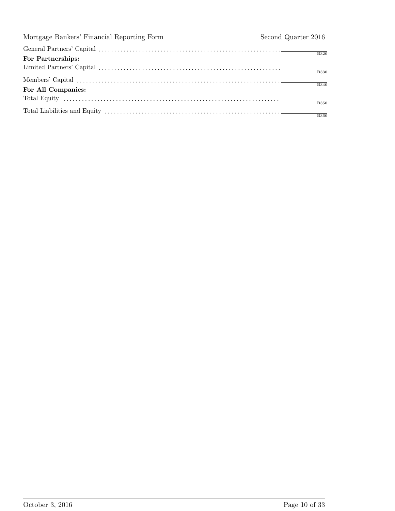| For Partnerships:  | <b>B320</b>  |
|--------------------|--------------|
|                    |              |
|                    | <b>B330</b>  |
|                    | <b>B</b> 340 |
| For All Companies: |              |
|                    | <b>B350</b>  |
|                    |              |
|                    | <b>B360</b>  |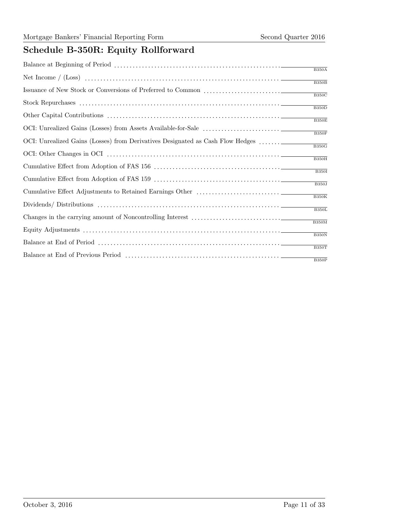# Schedule B-350R: Equity Rollforward

|                                                                                | B350A                     |
|--------------------------------------------------------------------------------|---------------------------|
|                                                                                |                           |
|                                                                                | B350B                     |
|                                                                                | $\overline{B350C}$        |
|                                                                                | $\overline{\text{B350D}}$ |
|                                                                                | B350E                     |
|                                                                                | B350F                     |
| OCI: Unrealized Gains (Losses) from Derivatives Designated as Cash Flow Hedges | $\overline{B350G}$        |
|                                                                                | $\overline{B350H}$        |
|                                                                                | $\overline{B350I}$        |
|                                                                                |                           |
|                                                                                | $\overline{B350J}$        |
|                                                                                | B350K                     |
|                                                                                | B350L                     |
|                                                                                |                           |
|                                                                                | B350M                     |
|                                                                                | B350N                     |
|                                                                                | B350T                     |
|                                                                                |                           |
|                                                                                | B350P                     |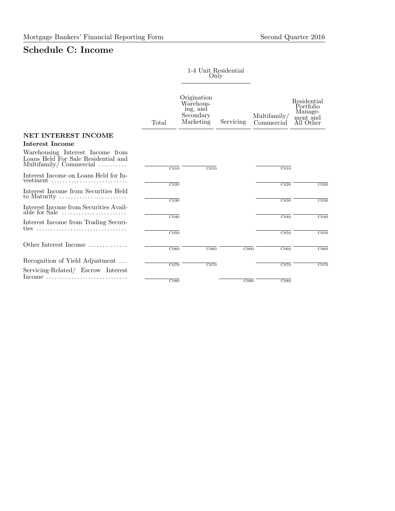## Schedule C: Income

1-4 Unit Residential Only

|                                                                                                            | Total              | Origination<br>Warehous-<br>ing, and<br>Secondary<br>Marketing | Servicing         | Multifamily/<br>Commercial | Residential<br>Portfolio<br>Manage-<br>ment and<br>All Other |
|------------------------------------------------------------------------------------------------------------|--------------------|----------------------------------------------------------------|-------------------|----------------------------|--------------------------------------------------------------|
| NET INTEREST INCOME                                                                                        |                    |                                                                |                   |                            |                                                              |
| <b>Interest Income</b>                                                                                     |                    |                                                                |                   |                            |                                                              |
| Warehousing Interest Income from<br>Loans Held For Sale Residential and<br>Multifamily/Commercial $\ldots$ | $\overline{CO10}$  | $\overline{CO10}$                                              |                   | $\overline{CO10}$          |                                                              |
| Interest Income on Loans Held for In-<br>vestment $\dots\dots\dots\dots\dots\dots\dots\dots\dots\dots$     | $\overline{C020}$  |                                                                |                   | C <sub>020</sub>           | CO <sub>20</sub>                                             |
| Interest Income from Securities Held<br>to Maturity                                                        | C <sub>030</sub>   |                                                                |                   | C <sub>030</sub>           | CO30                                                         |
| Interest Income from Securities Avail-<br>able for Sale $\dots\dots\dots\dots\dots\dots\dots\dots$         | $\overline{C040}$  |                                                                |                   | $\overline{C040}$          | CO40                                                         |
| Interest Income from Trading Securi-<br>ties                                                               | C <sub>050</sub>   |                                                                |                   | C <sub>050</sub>           | CO <sub>50</sub>                                             |
|                                                                                                            |                    |                                                                |                   |                            |                                                              |
| Other Interest Income                                                                                      | $\overline{C060}$  | $\overline{C060}$                                              | $\overline{C060}$ | $\overline{C060}$          | CO60                                                         |
| Recognition of Yield Adjustment<br>Servicing-Related/ Escrow Interest                                      | C070               | C070                                                           |                   | C070                       | CO70                                                         |
| $Income \dots \dots \dots \dots \dots \dots \dots \dots \dots \dots$                                       | $\overline{C}$ 080 |                                                                | C <sub>080</sub>  | C <sub>080</sub>           |                                                              |

Total Interest Incom $\mathbb{C}040$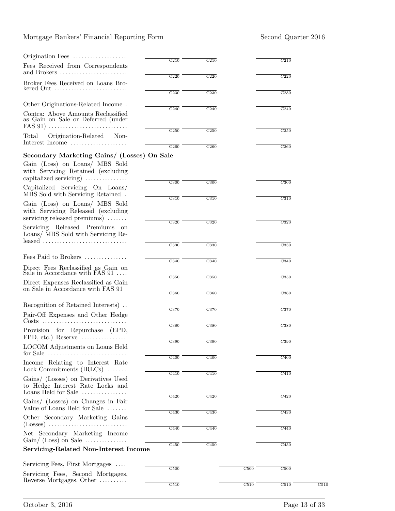### Mortgage Bankers' Financial Reporting Form Second Quarter 2016

| Origination Fees                                                                                                                                                     |                          |                          |                          |      |
|----------------------------------------------------------------------------------------------------------------------------------------------------------------------|--------------------------|--------------------------|--------------------------|------|
| Fees Received from Correspondents<br>and Brokers                                                                                                                     | C210                     | C210                     | C210                     |      |
| Broker Fees Received on Loans Bro-<br>kered Out $\dots\dots\dots\dots\dots\dots\dots\dots\dots\dots$                                                                 | $\overline{\text{C}220}$ | $\overline{\text{C}220}$ | C220                     |      |
| Other Originations-Related Income.                                                                                                                                   | C <sub>230</sub>         | C <sub>230</sub>         | C <sub>230</sub>         |      |
| Contra: Above Amounts Reclassified<br>as Gain on Sale or Deferred (under                                                                                             | $\overline{C240}$        | C <sub>240</sub>         | C <sub>240</sub>         |      |
| Origination-Related<br>Total<br>Non-<br>Interest Income                                                                                                              | $\overline{\text{C}250}$ | $\overline{\text{C}250}$ | C <sub>250</sub>         |      |
|                                                                                                                                                                      | C <sub>260</sub>         | C <sub>260</sub>         | C <sub>260</sub>         |      |
| Secondary Marketing Gains/ (Losses) On Sale<br>Gain (Loss) on Loans/ MBS Sold<br>with Servicing Retained (excluding<br>capitalized servicing) $\dots\dots\dots\dots$ |                          |                          |                          |      |
| Capitalized Servicing On Loans/<br>MBS Sold with Servicing Retained.                                                                                                 | C300                     | C300                     | C300                     |      |
| Gain (Loss) on Loans/ MBS Sold<br>with Servicing Released (excluding<br>servicing released premiums)                                                                 | $\overline{\text{C}310}$ | C310                     | C310                     |      |
| Servicing Released Premiums on<br>Loans/ MBS Sold with Servicing Re-                                                                                                 | C320                     | C320                     | C320                     |      |
|                                                                                                                                                                      | $\overline{\text{C}330}$ | C330                     | $\overline{\text{C}330}$ |      |
| Fees Paid to Brokers                                                                                                                                                 | C340                     | C340                     | C340                     |      |
| Direct Fees Reclassified as Gain on<br>Sale in Accordance with FAS $91 \ldots$                                                                                       |                          |                          |                          |      |
| Direct Expenses Reclassified as Gain<br>on Sale in Accordance with FAS 91                                                                                            | $\overline{\text{C}350}$ | C350                     | C350                     |      |
|                                                                                                                                                                      | C360                     | C360                     | C360                     |      |
| Recognition of Retained Interests).                                                                                                                                  | $\overline{\text{C}370}$ | C370                     | C370                     |      |
| Pair-Off Expenses and Other Hedge                                                                                                                                    |                          |                          |                          |      |
| Provision for Repurchase (EPD,<br>$FPD, etc.$ ) Reserve                                                                                                              | C380                     | C380                     | C380                     |      |
| LOCOM Adjustments on Loans Held<br>for Sale $\dots\dots\dots\dots\dots\dots\dots\dots\dots\dots$                                                                     | C390                     | ${\rm C}390$             | $_{\rm C390}$            |      |
| Income Relating to Interest Rate<br>Lock Commitments $(IRLCs)$                                                                                                       | C400                     | C400                     | C400                     |      |
| Gains/ (Losses) on Derivatives Used<br>to Hedge Interest Rate Locks and<br>Loans Held for Sale $\dots\dots\dots\dots\dots$                                           | $\overline{\text{C}410}$ | $\overline{\text{C}410}$ | $\overline{\text{C}410}$ |      |
| Gains/ (Losses) on Changes in Fair<br>Value of Loans Held for Sale                                                                                                   | C420                     | C420                     | C420                     |      |
| Other Secondary Marketing Gains<br>$(Losses)$                                                                                                                        | $\overline{\text{C}430}$ | $\overline{C430}$        | C430                     |      |
| Net Secondary Marketing Income<br>$Gain / (Loss)$ on Sale                                                                                                            | C440                     | C440                     | C440                     |      |
| <b>Servicing-Related Non-Interest Income</b>                                                                                                                         | $\overline{\text{C}450}$ | $\overline{\text{C}450}$ | $\overline{\text{C}450}$ |      |
| Servicing Fees, First Mortgages                                                                                                                                      |                          |                          |                          |      |
| Servicing Fees, Second Mortgages,                                                                                                                                    | C500                     | C500                     | C500                     |      |
| Reverse Mortgages, Other                                                                                                                                             | $\overline{\text{C}510}$ | $\overline{\text{C}510}$ | C510                     | C510 |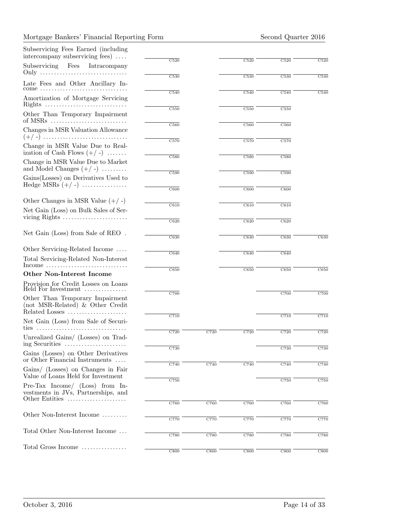#### Mortgage Bankers' Financial Reporting Form Second Quarter 2016

| Subservicing Fees Earned (including<br>intercompany subservicing fees) $\dots$      |                          |                   |                          |                          |                   |
|-------------------------------------------------------------------------------------|--------------------------|-------------------|--------------------------|--------------------------|-------------------|
| Subservicing<br>Fees<br>Intracompany                                                | C520                     |                   | C520                     | C520                     | C520              |
| Late Fees and Other Ancillary In-                                                   | C530                     |                   | C530                     | C530                     | C530              |
| $come \ldots \ldots \ldots \ldots$<br>Amortization of Mortgage Servicing            | C540                     |                   | C540                     | C540                     | C540              |
| Rights                                                                              | $\overline{\text{C}550}$ |                   | $\overline{\text{C}550}$ | $\overline{\text{C}550}$ |                   |
| Other Than Temporary Impairment                                                     |                          |                   | $\overline{\text{C}560}$ |                          |                   |
| Changes in MSR Valuation Allowance                                                  | C560                     |                   |                          | C560                     |                   |
| Change in MSR Value Due to Real-<br>ization of Cash Flows $(+/-)$                   | $\overline{\text{C}570}$ |                   | C570                     | C570                     |                   |
| Change in MSR Value Due to Market<br>and Model Changes $(+/-)$                      | $\overline{\text{C}580}$ |                   | $\overline{\text{C}580}$ | $\overline{\text{C}580}$ |                   |
| Gains (Losses) on Derivatives Used to                                               | $\overline{\text{C}590}$ |                   | C590                     | C590                     |                   |
| Hedge MSRs $(+/-)$                                                                  | C600                     |                   | $\overline{\text{C}600}$ | C600                     |                   |
| Other Changes in MSR Value $(+/-)$                                                  | $\overline{\text{C}610}$ |                   | $\overline{\text{C}610}$ | C610                     |                   |
| Net Gain (Loss) on Bulk Sales of Ser-                                               |                          |                   |                          |                          |                   |
| vicing Rights $\dots \dots \dots \dots \dots \dots \dots$                           | $\overline{C620}$        |                   | $\overline{C620}$        | $\overline{C620}$        |                   |
| Net Gain (Loss) from Sale of REO.                                                   | C630                     |                   | C630                     | C630                     | C630              |
| Other Servicing-Related Income                                                      | $\overline{\text{C}640}$ |                   | $\overline{\text{C}640}$ | $\overline{\text{C}640}$ |                   |
| Total Servicing-Related Non-Interest<br>$Income \ldots \ldots \ldots \ldots \ldots$ |                          |                   |                          |                          |                   |
| <b>Other Non-Interest Income</b>                                                    | C650                     |                   | C650                     | C650                     | C650              |
| Provision for Credit Losses on Loans<br>Held For Investment                         |                          |                   |                          |                          |                   |
| Other Than Temporary Impairment<br>(not MSR-Related) & Other Credit                 | C700                     |                   |                          | C700                     | C700              |
| Related Losses                                                                      | C710                     |                   |                          | C710                     | C710              |
| Net Gain (Loss) from Sale of Securi-<br>ties                                        |                          |                   |                          |                          |                   |
| Unrealized Gains/ (Losses) on Trad-<br>ing Securities                               | C720                     | C720              | C720                     | C720                     | C720              |
| Gains (Losses) on Other Derivatives<br>or Other Financial Instruments               | C730                     |                   |                          | C730                     | C730              |
| Gains/ (Losses) on Changes in Fair<br>Value of Loans Held for Investment            | $\overline{C740}$        | $\overline{C740}$ | $\overline{C740}$        | $\overline{C740}$        | $\overline{C740}$ |
| Pre-Tax Income/ $(Loss)$ from In-<br>vestments in JVs, Partnerships, and            | C750                     |                   |                          | ${\rm C}750$             | ${\rm C}750$      |
| Other Entities                                                                      | $\overline{C760}$        | $\overline{C760}$ | $\overline{C760}$        | $\overline{C760}$        | C760              |
| Other Non-Interest Income                                                           | $\overline{C770}$        | C770              | C770                     | C770                     | C770              |
| Total Other Non-Interest Income                                                     | $\overline{C780}$        | $\overline{C780}$ | $\overline{C780}$        | $\overline{C780}$        | C780              |
| Total Gross Income                                                                  |                          |                   |                          |                          |                   |
|                                                                                     | C800                     | C800              | C800                     | C800                     | C800              |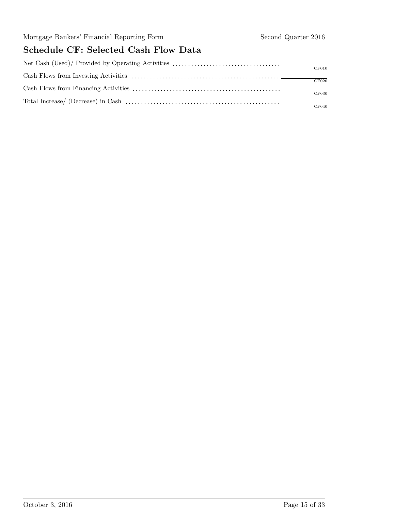## Schedule CF: Selected Cash Flow Data

| CF010 |
|-------|
|       |
| CF020 |
|       |
| CF030 |
| CF040 |
|       |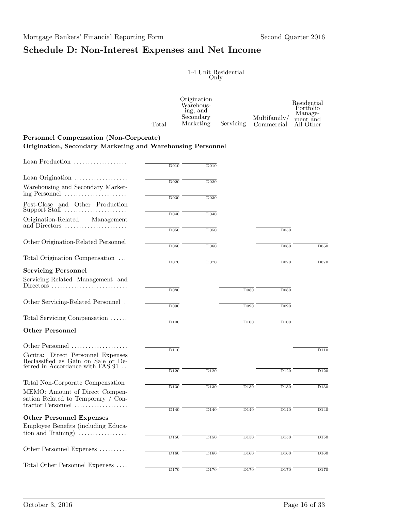## Schedule D: Non-Interest Expenses and Net Income

|                                                                                                                      |                   | 1-4 Unit_Residential<br>Only                                   |                   |                                        |                                                              |
|----------------------------------------------------------------------------------------------------------------------|-------------------|----------------------------------------------------------------|-------------------|----------------------------------------|--------------------------------------------------------------|
|                                                                                                                      | Total             | Origination<br>Warehous-<br>ing, and<br>Secondary<br>Marketing | Servicing         | Multifamily <sub>1</sub><br>Commercial | Residential<br>Portfolio<br>Manage-<br>ment and<br>All Other |
| Personnel Compensation (Non-Corporate)<br>Origination, Secondary Marketing and Warehousing Personnel                 |                   |                                                                |                   |                                        |                                                              |
| Loan Production                                                                                                      | D <sub>010</sub>  | D010                                                           |                   |                                        |                                                              |
| Loan Origination                                                                                                     |                   |                                                                |                   |                                        |                                                              |
| Warehousing and Secondary Market-<br>ing Personnel                                                                   | D020              | D <sub>0</sub> 20                                              |                   |                                        |                                                              |
| Post-Close and Other Production<br>Support Staff                                                                     | D030              | D030                                                           |                   |                                        |                                                              |
| Origination-Related<br>Management<br>and Directors                                                                   | D040              | D040                                                           |                   |                                        |                                                              |
|                                                                                                                      | $\overline{D050}$ | D050                                                           |                   | D <sub>050</sub>                       |                                                              |
| Other Origination-Related Personnel                                                                                  | D060              | D060                                                           |                   | D060                                   | D <sub>060</sub>                                             |
| Total Origination Compensation                                                                                       | D <sub>0</sub> 70 | D <sub>0</sub> 70                                              |                   | $\overline{D070}$                      | D <sub>070</sub>                                             |
| <b>Servicing Personnel</b>                                                                                           |                   |                                                                |                   |                                        |                                                              |
| Servicing-Related Management and<br>Directors                                                                        | D080              |                                                                | D <sub>080</sub>  | D080                                   |                                                              |
| Other Servicing-Related Personnel.                                                                                   | D090              |                                                                | D <sub>090</sub>  | D <sub>090</sub>                       |                                                              |
| Total Servicing Compensation                                                                                         | $\overline{D100}$ |                                                                | D <sub>100</sub>  | D100                                   |                                                              |
| <b>Other Personnel</b>                                                                                               |                   |                                                                |                   |                                        |                                                              |
| Other Personnel                                                                                                      | $\overline{D11}0$ |                                                                |                   |                                        | D110                                                         |
| Contra: Direct Personnel Expenses<br>Reclassified as Gain on Sale or Deferred in Accordance with FAS $91\,$ $\ldots$ |                   |                                                                |                   |                                        |                                                              |
|                                                                                                                      | $\overline{D120}$ | $\overline{D120}$                                              |                   | D120                                   | D120                                                         |
| Total Non-Corporate Compensation                                                                                     | $\overline{D130}$ | $\overline{D130}$                                              | $\overline{D130}$ | $\overline{D130}$                      | $\overline{D130}$                                            |
| MEMO: Amount of Direct Compen-<br>sation Related to Temporary / Con-<br>tractor Personnel                            |                   |                                                                |                   |                                        |                                                              |
|                                                                                                                      | $\overline{D140}$ | $\overline{D140}$                                              | $\overline{D140}$ | $\overline{D140}$                      | $\overline{D140}$                                            |
| <b>Other Personnel Expenses</b><br>Employee Benefits (including Educa-                                               |                   |                                                                |                   |                                        |                                                              |
| tion and Training $\ldots$                                                                                           | $\overline{D150}$ | $\overline{D150}$                                              | $\overline{D150}$ | $\overline{D150}$                      | D150                                                         |
| Other Personnel Expenses                                                                                             | D160              | D160                                                           | D160              | D160                                   | D <sub>160</sub>                                             |
| Total Other Personnel Expenses                                                                                       |                   |                                                                |                   |                                        |                                                              |
|                                                                                                                      | D <sub>170</sub>  | D170                                                           | D170              | D170                                   | D170                                                         |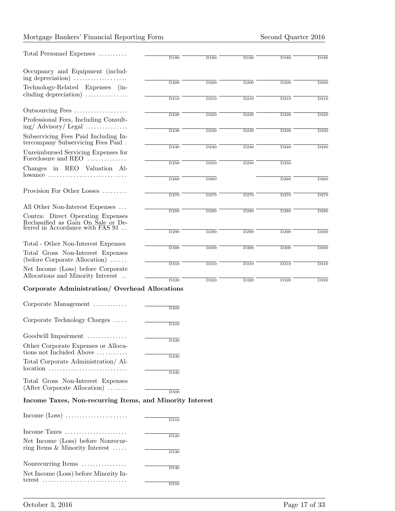#### Mortgage Bankers' Financial Reporting Form Second Quarter 2016

| Total Personnel Expenses                                                                                | $\overline{D180}$ | D180              | D180              | D180              | D <sub>180</sub> |
|---------------------------------------------------------------------------------------------------------|-------------------|-------------------|-------------------|-------------------|------------------|
| Occupancy and Equipment (includ-<br>ing depreciation)                                                   |                   |                   |                   |                   |                  |
| Technology-Related Expenses (in-<br>cluding depreciation) $\dots\dots\dots\dots\dots$                   | D200              | D200              | D200              | D200              | D200             |
|                                                                                                         | $\overline{D210}$ | $\overline{D210}$ | $\overline{D210}$ | $\overline{D210}$ | D210             |
| Outsourcing Fees<br>Professional Fees, Including Consult-                                               | D <sub>220</sub>  | D <sub>220</sub>  | D <sub>220</sub>  | D <sub>220</sub>  | D220             |
| $\text{ing}/\text{Advisory}/\text{Legal}\dots\dots\dots\dots$                                           | $\overline{D230}$ | $\overline{D230}$ | $\overline{D230}$ | D230              | D <sub>230</sub> |
| Subservicing Fees Paid Including In-<br>tercompany Subservicing Fees Paid.                              |                   |                   |                   |                   |                  |
| Unreimbursed Servicing Expenses for<br>Foreclosure and REO                                              | D <sub>240</sub>  | D <sub>240</sub>  | D <sub>240</sub>  | D <sub>240</sub>  | D240             |
| Changes in REO Valuation Al-                                                                            | $\overline{D250}$ | D250              | D250              | $\overline{D250}$ |                  |
| $lowance$                                                                                               | $\overline{D260}$ | D260              |                   | $\overline{D260}$ | D <sub>260</sub> |
| Provision For Other Losses                                                                              | D <sub>270</sub>  | D <sub>270</sub>  | D <sub>270</sub>  | D <sub>270</sub>  | D270             |
| All Other Non-Interest Expenses                                                                         | $\overline{D280}$ | $\overline{D280}$ | $\overline{D280}$ | $\overline{D280}$ | D <sub>280</sub> |
| Contra: Direct Operating Expenses<br>Reclassified as Gain On Sale or Deferred in Accordance with FAS 91 |                   |                   |                   |                   |                  |
|                                                                                                         | D290              | D290              | D <sub>290</sub>  | D <sub>290</sub>  | D <sub>290</sub> |
| Total - Other Non-Interest Expenses                                                                     | $\overline{D300}$ | $\overline{D300}$ | D300              | $\overline{D300}$ | D300             |
| Total Gross Non-Interest Expenses<br>$(before Corporate Allocation) \ldots$                             | $\overline{D310}$ | D310              | D310              | D310              | D310             |
| Net Income (Loss) before Corporate<br>Allocations and Minority Interest                                 |                   |                   |                   |                   |                  |
| Corporate Administration/ Overhead Allocations                                                          | $\overline{D320}$ | $\overline{D320}$ | $\overline{D320}$ | $\overline{D320}$ | D320             |
| Corporate Management                                                                                    |                   |                   |                   |                   |                  |
|                                                                                                         | D400              |                   |                   |                   |                  |
| Corporate Technology Charges                                                                            | $\overline{D410}$ |                   |                   |                   |                  |
| Goodwill Impairment                                                                                     | D420              |                   |                   |                   |                  |
| Other Corporate Expenses or Alloca-<br>tions not Included Above                                         | D430              |                   |                   |                   |                  |
| Total Corporate Administration/Al-<br>$location \dots \dots \dots \dots \dots \dots \dots \dots \dots$  |                   |                   |                   |                   |                  |
| Total Gross Non-Interest Expenses                                                                       | D440              |                   |                   |                   |                  |
| $(After Corporate Allocation) \ldots$                                                                   | D500              |                   |                   |                   |                  |
| Income Taxes, Non-recurring Items, and Minority Interest                                                |                   |                   |                   |                   |                  |
| Income $(Loss)$                                                                                         | D510              |                   |                   |                   |                  |
| Income Taxes $\dots\dots\dots\dots\dots\dots\dots\dots$                                                 |                   |                   |                   |                   |                  |
| Net Income (Loss) before Nonrecur-<br>ring Items & Minority Interest $\ldots$ .                         | D520              |                   |                   |                   |                  |
|                                                                                                         | D530              |                   |                   |                   |                  |

Nonrecurring Items . . . . . . . . . . . . . . . .  $\overline{\mathrm{D}540}$ Net Income (Loss) before Minority Interest . . . . . . . . . . . . . . . . . . . . . . . . . . . . . .  $\overline{\mathrm{D}550}$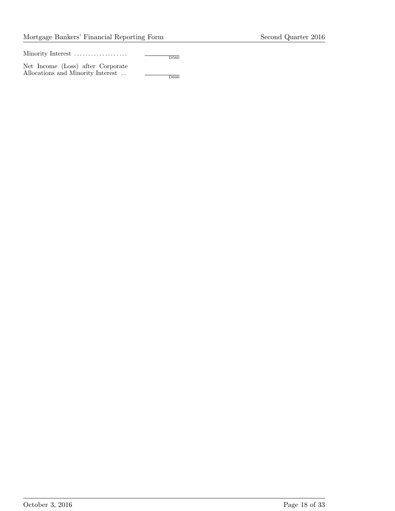Minority Interest ...................

Net Income (Loss) after Corporate Allocations and Minority Interest . .

 $\overline{\mathrm{D}600}$ 

D560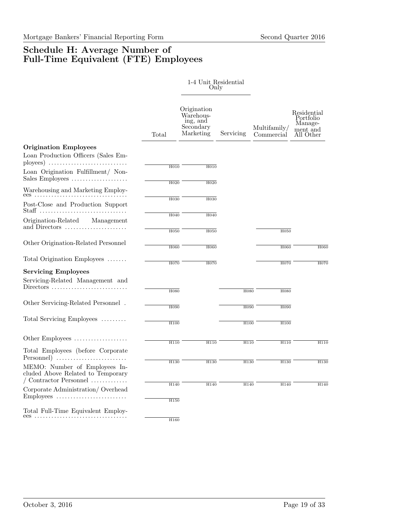### Schedule H: Average Number of Full-Time Equivalent (FTE) Employees

|                                                                                                                                |                          | 1-4 Unit Residential<br>Only                                   |                          |                                      |                                                              |
|--------------------------------------------------------------------------------------------------------------------------------|--------------------------|----------------------------------------------------------------|--------------------------|--------------------------------------|--------------------------------------------------------------|
|                                                                                                                                | Total                    | Origination<br>Warehous-<br>ing, and<br>Secondary<br>Marketing | Servicing                | Multifamily/<br>Commercial           | Residential<br>Portfolio<br>Manage-<br>ment and<br>All Other |
| <b>Origination Employees</b><br>Loan Production Officers (Sales Em-                                                            |                          |                                                                |                          |                                      |                                                              |
| Loan Origination Fulfillment/ Non-<br>Sales Employees                                                                          | H <sub>010</sub>         | H010                                                           |                          |                                      |                                                              |
| Warehousing and Marketing Employ-                                                                                              | H020                     | H020                                                           |                          |                                      |                                                              |
| Post-Close and Production Support                                                                                              | H030                     | H030                                                           |                          |                                      |                                                              |
| Origination-Related<br>Management<br>and Directors                                                                             | H040                     | H040                                                           |                          |                                      |                                                              |
| Other Origination-Related Personnel                                                                                            | H050                     | H050                                                           |                          | H <sub>050</sub>                     |                                                              |
| Total Origination Employees                                                                                                    | H <sub>060</sub>         | H060                                                           |                          | H060                                 | H060                                                         |
|                                                                                                                                | H070                     | H <sub>070</sub>                                               |                          | H070                                 | H070                                                         |
| <b>Servicing Employees</b><br>Servicing-Related Management and<br>$Directions \dots \dots \dots \dots \dots \dots \dots \dots$ |                          |                                                                |                          |                                      |                                                              |
| Other Servicing-Related Personnel.                                                                                             | <b>H080</b>              |                                                                | H <sub>0</sub> 80        | <b>H080</b>                          |                                                              |
| Total Servicing Employees                                                                                                      | H <sub>090</sub><br>H100 |                                                                | H <sub>090</sub><br>H100 | H <sub>090</sub><br>H <sub>100</sub> |                                                              |
| Other Employees                                                                                                                | H110                     | H110                                                           | H110                     | H110                                 | H110                                                         |
| Total Employees (before Corporate<br>Personnel)                                                                                |                          |                                                                |                          |                                      |                                                              |
| MEMO: Number of Employees In-<br>cluded Above Related to Temporary<br>/ Contractor Personnel                                   | H130                     | H130                                                           | H130                     | H130                                 | H130                                                         |
| Corporate Administration/Overhead<br>Employees                                                                                 | H140<br>H <sub>150</sub> | H140                                                           | H140                     | H140                                 | H140                                                         |
| Total Full-Time Equivalent Employ-<br>ees                                                                                      | H <sub>160</sub>         |                                                                |                          |                                      |                                                              |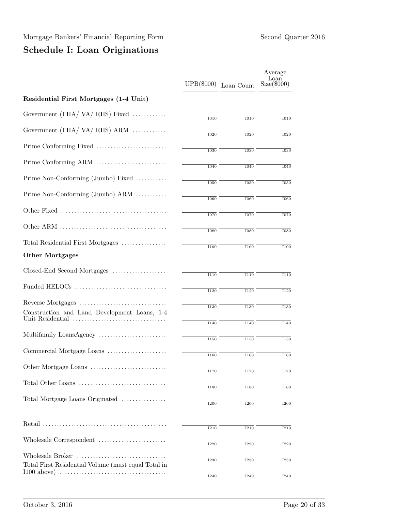# Schedule I: Loan Originations

|                                                     | UPB(\$000)        | Loan Count        | Average<br>Loan<br>$Size(\$000)$ |
|-----------------------------------------------------|-------------------|-------------------|----------------------------------|
| Residential First Mortgages (1-4 Unit)              |                   |                   |                                  |
| Government (FHA/VA/RHS) Fixed                       | $\overline{1010}$ | $\overline{1010}$ | I010                             |
| Government (FHA/VA/RHS) ARM                         | $\overline{1020}$ | $\overline{1020}$ | $\overline{1020}$                |
|                                                     | 1030              | 1030              | 1030                             |
|                                                     |                   |                   |                                  |
| Prime Non-Conforming (Jumbo) Fixed                  | $\overline{1040}$ | $\overline{1040}$ | $\overline{1040}$                |
| Prime Non-Conforming (Jumbo) ARM                    | $\overline{1050}$ | $\overline{1050}$ | $\overline{1050}$                |
|                                                     | <b>1060</b>       | <b>1060</b>       | <b>I060</b>                      |
|                                                     | <b>I070</b>       | <b>I070</b>       | <b>I070</b>                      |
|                                                     | <b>I080</b>       | <b>I080</b>       | <b>I080</b>                      |
| Total Residential First Mortgages                   | 1100              | <b>I100</b>       | 1100                             |
| <b>Other Mortgages</b>                              |                   |                   |                                  |
| Closed-End Second Mortgages                         | $\overline{1110}$ | $\overline{1110}$ | $\overline{1110}$                |
|                                                     | <b>I120</b>       | <b>I120</b>       | $\overline{1120}$                |
|                                                     | 1130              | $\overline{1130}$ | 1130                             |
| Construction and Land Development Loans, 1-4        |                   |                   |                                  |
| Multifamily LoansAgency                             | <b>I140</b>       | 1140              | <b>I140</b>                      |
| Commercial Mortgage Loans                           | <b>I150</b>       | <b>I150</b>       | <b>I150</b>                      |
|                                                     | <b>I160</b>       | <b>I160</b>       | <b>I160</b>                      |
|                                                     | <b>I170</b>       | 1170              | 1170                             |
|                                                     | <b>I180</b>       | <b>I180</b>       | <b>I180</b>                      |
| Total Mortgage Loans Originated                     | <b>I200</b>       | <b>I200</b>       | <b>I200</b>                      |
|                                                     | <b>I210</b>       | <b>I210</b>       | <b>I210</b>                      |
|                                                     | $\overline{1220}$ | $\overline{1220}$ | <b>I220</b>                      |
| Wholesale Broker                                    | <b>I230</b>       | 1230              | <b>I230</b>                      |
| Total First Residential Volume (must equal Total in | <b>I240</b>       | <b>I240</b>       | <b>I240</b>                      |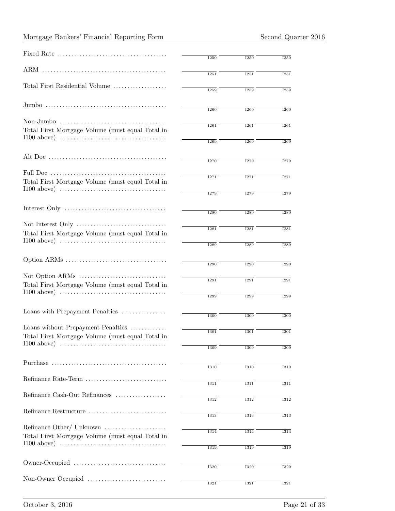|                                                  | <b>I250</b>       | <b>I250</b> | <b>I250</b> |
|--------------------------------------------------|-------------------|-------------|-------------|
|                                                  | 1251              | 1251        | 1251        |
| Total First Residential Volume                   | <b>I259</b>       | <b>I259</b> | <b>I259</b> |
|                                                  | <b>I260</b>       | <b>I260</b> | <b>I260</b> |
|                                                  |                   |             |             |
| Total First Mortgage Volume (must equal Total in | 1261              | 1261        | <b>I261</b> |
|                                                  | <b>I269</b>       | <b>I269</b> | <b>I269</b> |
|                                                  | <b>I270</b>       | <b>I270</b> |             |
|                                                  |                   |             | <b>I270</b> |
|                                                  | <b>I271</b>       | <b>I271</b> | <b>I271</b> |
| Total First Mortgage Volume (must equal Total in |                   |             |             |
|                                                  | <b>I279</b>       | <b>I279</b> | <b>I279</b> |
|                                                  |                   |             |             |
|                                                  | <b>I280</b>       | <b>I280</b> | <b>I280</b> |
|                                                  |                   |             |             |
| Total First Mortgage Volume (must equal Total in | <b>I281</b>       | <b>I281</b> | <b>I281</b> |
|                                                  |                   |             |             |
|                                                  | <b>I289</b>       | <b>I289</b> | <b>I289</b> |
|                                                  |                   |             |             |
|                                                  | $\overline{1290}$ | <b>I290</b> | <b>I290</b> |
|                                                  |                   |             |             |
| Total First Mortgage Volume (must equal Total in | <b>I291</b>       | <b>I291</b> | <b>I291</b> |
|                                                  | <b>I299</b>       | <b>I299</b> |             |
|                                                  |                   |             | <b>I299</b> |
| Loans with Prepayment Penalties                  |                   |             |             |
|                                                  | <b>I300</b>       | <b>I300</b> | 1300        |
| Loans without Prepayment Penalties               |                   |             |             |
| Total First Mortgage Volume (must equal Total in | 1301              | <b>I301</b> | <b>1301</b> |
|                                                  | <b>I309</b>       |             |             |
|                                                  |                   | 1309        | 1309        |
|                                                  |                   |             |             |
|                                                  | 1310              | 1310        | <b>I310</b> |
| Refinance Rate-Term                              |                   |             |             |
|                                                  | <b>I311</b>       | 1311        | <b>I311</b> |
| Refinance Cash-Out Refinances                    | 1312              | 1312        | <b>I312</b> |
|                                                  |                   |             |             |
| Refinance Restructure                            | <b>I313</b>       | <b>I313</b> | 1313        |
|                                                  |                   |             |             |
| Refinance Other/ Unknown                         | 1314              | 1314        | 1314        |
| Total First Mortgage Volume (must equal Total in |                   |             |             |
|                                                  | 1319              | <b>I319</b> | 1319        |
|                                                  |                   |             |             |
|                                                  | <b>I320</b>       | 1320        | <b>I320</b> |
|                                                  |                   |             |             |
|                                                  | 1321              | 1321        | 1321        |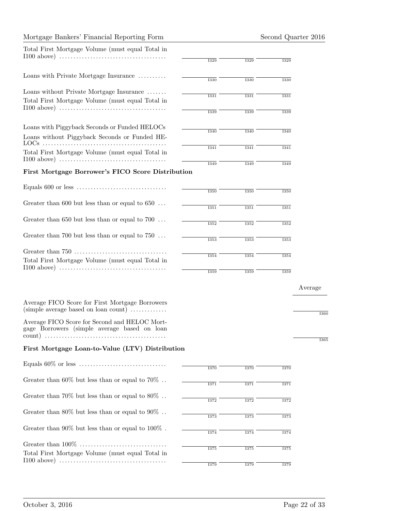|  |  |  | Mortgage Bankers' Financial Reporting Form |  |
|--|--|--|--------------------------------------------|--|
|--|--|--|--------------------------------------------|--|

| Total First Mortgage Volume (must equal Total in                                                            |             |             |             |              |
|-------------------------------------------------------------------------------------------------------------|-------------|-------------|-------------|--------------|
|                                                                                                             | 1329        | <b>I329</b> | 1329        |              |
| Loans with Private Mortgage Insurance                                                                       |             |             |             |              |
|                                                                                                             | <b>I330</b> | <b>I330</b> | 1330        |              |
| Loans without Private Mortgage Insurance<br>Total First Mortgage Volume (must equal Total in                | 1331        | 1331        | 1331        |              |
|                                                                                                             | 1339        | <b>I339</b> | 1339        |              |
| Loans with Piggyback Seconds or Funded HELOCs                                                               | <b>I340</b> | <b>I340</b> | <b>I340</b> |              |
| Loans without Piggyback Seconds or Funded HE-                                                               |             |             |             |              |
| Total First Mortgage Volume (must equal Total in                                                            | 1341        | 1341        | 1341        |              |
| First Mortgage Borrower's FICO Score Distribution                                                           | <b>I349</b> | <b>I349</b> | <b>I349</b> |              |
|                                                                                                             |             |             |             |              |
|                                                                                                             | 1350        | <b>I350</b> | <b>I350</b> |              |
| Greater than 600 but less than or equal to $650$                                                            | 1351        | 1351        | 1351        |              |
| Greater than 650 but less than or equal to 700 $\dots$                                                      | <b>I352</b> | <b>I352</b> | <b>I352</b> |              |
| Greater than 700 but less than or equal to $750$                                                            | <b>I353</b> | <b>I353</b> | <b>I353</b> |              |
| Total First Mortgage Volume (must equal Total in                                                            | 1354        | 1354        | 1354        |              |
|                                                                                                             | 1359        | 1359        | <b>I359</b> |              |
|                                                                                                             |             |             |             | Average      |
| Average FICO Score for First Mortgage Borrowers<br>$(simple average based on loan count) \dots \dots \dots$ |             |             |             | К            |
| Average FICO Score for Second and HELOC Mort-<br>gage Borrowers (simple average based on loan<br>count)     |             |             |             |              |
| First Mortgage Loan-to-Value (LTV) Distribution                                                             |             |             |             | $\mathbf{I}$ |
|                                                                                                             |             |             |             |              |
|                                                                                                             | <b>I370</b> | <b>I370</b> | <b>I370</b> |              |
| Greater than 60% but less than or equal to 70%                                                              | <b>I371</b> | <b>I371</b> | <b>I371</b> |              |
| Greater than 70% but less than or equal to 80%                                                              | <b>I372</b> | <b>I372</b> | <b>I372</b> |              |
| Greater than 80% but less than or equal to 90%                                                              | <b>I373</b> | <b>I373</b> | 1373        |              |
| Greater than $90\%$ but less than or equal to $100\%$ .                                                     | <b>I374</b> | <b>I374</b> | <b>I374</b> |              |
|                                                                                                             |             |             |             |              |
| Total First Mortgage Volume (must equal Total in                                                            | <b>I375</b> | <b>I375</b> | <b>I375</b> |              |
|                                                                                                             | <b>I379</b> | <b>I379</b> | <b>I379</b> |              |

I360

I365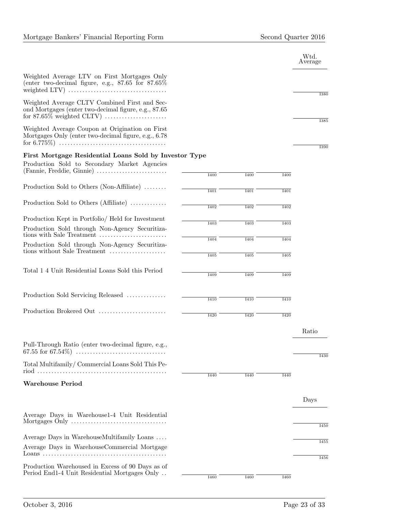|                                                                                                          |                   |                  |             | Wtd.<br>Average |
|----------------------------------------------------------------------------------------------------------|-------------------|------------------|-------------|-----------------|
| Weighted Average LTV on First Mortgages Only<br>(enter two-decimal figure, e.g., $87.65$ for $87.65\%$   |                   |                  |             | 1380            |
| Weighted Average CLTV Combined First and Sec-<br>ond Mortgages (enter two-decimal figure, e.g., 87.65)   |                   |                  |             |                 |
| Weighted Average Coupon at Origination on First<br>Mortgages Only (enter two-decimal figure, e.g., 6.78) |                   |                  |             | <b>I385</b>     |
| First Mortgage Residential Loans Sold by Investor Type                                                   |                   |                  |             | 1390            |
| Production Sold to Secondary Market Agencies                                                             |                   |                  |             |                 |
| (Fannie, Freddie, Ginnie)                                                                                | <b>I400</b>       | <b>I400</b>      | <b>I400</b> |                 |
|                                                                                                          |                   |                  |             |                 |
| Production Sold to Others (Non-Affiliate)                                                                | <b>I401</b>       | <b>I401</b>      | I401        |                 |
| Production Sold to Others (Affiliate)                                                                    |                   |                  |             |                 |
|                                                                                                          | <b>I402</b>       | 1402             | I402        |                 |
| Production Kept in Portfolio/ Held for Investment                                                        | $\overline{1403}$ | <b>I403</b>      | <b>I403</b> |                 |
| Production Sold through Non-Agency Securitiza-<br>tions with Sale Treatment                              |                   |                  |             |                 |
| Production Sold through Non-Agency Securitiza-                                                           | I404              | <b>I404</b>      | I404        |                 |
| tions without Sale Treatment                                                                             | <b>I405</b>       | <b>I405</b>      | <b>I405</b> |                 |
|                                                                                                          |                   |                  |             |                 |
| Total 1 4 Unit Residential Loans Sold this Period                                                        | I409              | I <sub>409</sub> | I409        |                 |
|                                                                                                          |                   |                  |             |                 |
|                                                                                                          |                   |                  |             |                 |
| Production Sold Servicing Released                                                                       | <b>I410</b>       | I410             | <b>I410</b> |                 |
| Production Brokered Out                                                                                  |                   |                  |             |                 |
|                                                                                                          | <b>I420</b>       | <b>I420</b>      | <b>I420</b> |                 |
|                                                                                                          |                   |                  |             | Ratio           |
| Pull-Through Ratio (enter two-decimal figure, e.g.,                                                      |                   |                  |             |                 |
|                                                                                                          |                   |                  |             |                 |
| Total Multifamily/Commercial Loans Sold This Pe-                                                         |                   |                  |             | <b>I430</b>     |
|                                                                                                          | I440              | I440             | I440        |                 |
| <b>Warehouse Period</b>                                                                                  |                   |                  |             |                 |
|                                                                                                          |                   |                  |             |                 |
|                                                                                                          |                   |                  |             | Days            |
| Average Days in Warehouse1-4 Unit Residential                                                            |                   |                  |             |                 |
|                                                                                                          |                   |                  |             | <b>I450</b>     |
|                                                                                                          |                   |                  |             |                 |
| Average Days in WarehouseMultifamily Loans                                                               |                   |                  |             | 1455            |
| Average Days in WarehouseCommercial Mortgage                                                             |                   |                  |             |                 |
|                                                                                                          |                   |                  |             | <b>I456</b>     |
| Production Warehoused in Excess of 90 Days as of<br>Period End1-4 Unit Residential Mortgages Only        |                   |                  |             |                 |
|                                                                                                          | <b>I460</b>       | <b>I460</b>      | <b>I460</b> |                 |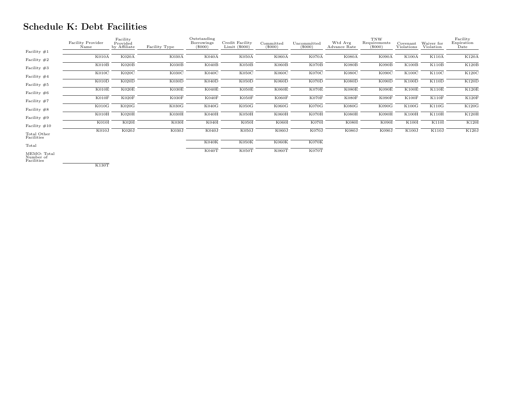## Schedule K: Debt Facilities

|                                        | Facility Provider<br>Name | Facility<br>Provided<br>by Affiliate | Facility Type | Outstanding<br>Borrowings<br>$(\$000)$ | Credit Facility<br>Limit $(\$000)$ | Committed<br>$(\$000)$ | Uncommitted<br>$(\$000)$ | Wtd Avg<br>Advance Rate | <b>TNW</b><br>Requirements<br>$(\$000)$ | Covenant<br>Violations | Waiver for<br>Violation | Facility<br>Expiration<br>Date |
|----------------------------------------|---------------------------|--------------------------------------|---------------|----------------------------------------|------------------------------------|------------------------|--------------------------|-------------------------|-----------------------------------------|------------------------|-------------------------|--------------------------------|
| Facility $#1$                          |                           |                                      |               |                                        |                                    |                        |                          |                         |                                         |                        |                         |                                |
| Facility $#2$                          | K010A                     | K020A                                | <b>K030A</b>  | K040A                                  | K050A                              | K060A                  | <b>K070A</b>             | <b>K080A</b>            | <b>K090A</b>                            | K100A                  | K110A                   | K120A                          |
| Facility $#3$                          | K010B                     | K020B                                | K030B         | K040B                                  | K050B                              | K060B                  | K070B                    | K080B                   | K090B                                   | K100B                  | K110B                   | K120B                          |
| Facility $#4$                          | K010C                     | K020C                                | K030C         | K040C                                  | K050C                              | K060C                  | K070C                    | K080C                   | K090C                                   | K100C                  | K110C                   | K120C                          |
| Facility $#5$                          | K010D                     | K020D                                | K030D         | K040D                                  | K050D                              | K060D                  | K070D                    | K080D                   | K090D                                   | K100D                  | K110D                   | K120D                          |
| Facility $\#6$                         | KO10E                     | K020E                                | K030E         | K040E                                  | K050E                              | K060E                  | KO70E                    | K080E                   | K090E                                   | K100E                  | K110E                   | K120E                          |
| Facility $#7$                          | KO10F                     | K020F                                | K030F         | K040F                                  | K050F                              | K060F                  | K070F                    | K080F                   | K090F                                   | K100F                  | K110F                   | K120F                          |
| Facility $#8$                          | K010G                     | K020G                                | K030G         | K040G                                  | K050G                              | K060G                  | K070G                    | K080G                   | K090G                                   | K100G                  | K110G                   | <b>K120G</b>                   |
| Facility $#9$                          | K010H                     | K020H                                | K030H         | K040H                                  | K050H                              | K060H                  | KO70H                    | <b>K080H</b>            | K090H                                   | K100H                  | K110H                   | K120H                          |
| Facility $\#10$                        | K010I                     | K020I                                | K030I         | K040I                                  | K050I                              | K060I                  | K070I                    | K080I                   | K090I                                   | K100I                  | K110I                   | K120I                          |
| Total Other<br>Facilities              | K010J                     | K020J                                | K030J         | K040J                                  | K050J                              | K060J                  | K070J                    | K080J                   | K090J                                   | K100J                  | K110J                   | K120J                          |
| Total                                  |                           |                                      |               | K040K                                  | K050K                              | K060K                  | K070K                    |                         |                                         |                        |                         |                                |
| MEMO: Total<br>Number of<br>Facilities |                           |                                      |               | K040T                                  | K050T                              | K060T                  | K070T                    |                         |                                         |                        |                         |                                |

K130T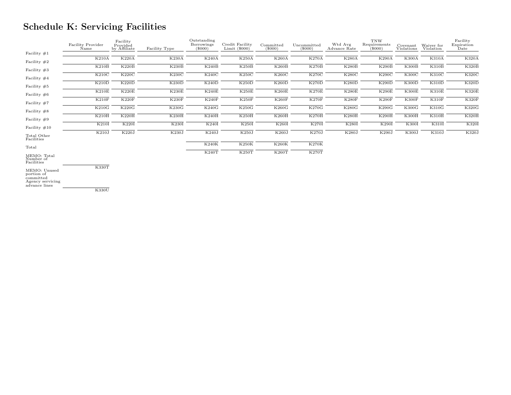# Schedule K: Servicing Facilities

|                                                                              | Facility Provider<br>Name | Facility<br>Provided<br>by Affiliate | Facility Type | Outstanding<br>Borrowings<br>$(\$000)$ | Credit Facility<br>Limit $(\$000)$ | Committed<br>$(\$000)$ | Uncommitted<br>$(\$000)$ | Wtd Avg<br>Advance Rate | <b>TNW</b><br>Requirements<br>$(\$000)$ | Covenant<br>Violations | Waiver for<br>Violation | Facility<br>Expiration<br>Date |
|------------------------------------------------------------------------------|---------------------------|--------------------------------------|---------------|----------------------------------------|------------------------------------|------------------------|--------------------------|-------------------------|-----------------------------------------|------------------------|-------------------------|--------------------------------|
| Facility $\#1$                                                               |                           |                                      |               |                                        |                                    |                        |                          |                         |                                         |                        |                         |                                |
| Facility $#2$                                                                | <b>K210A</b>              | K220A                                | K230A         | K240A                                  | K250A                              | K260A                  | <b>K270A</b>             | <b>K280A</b>            | K290A                                   | <b>K300A</b>           | K310A                   | K320A                          |
| Facility $#3$                                                                | K210B                     | K220B                                | K230B         | K240B                                  | K250B                              | K260B                  | K270B                    | K280B                   | K290B                                   | K300B                  | K310B                   | K320B                          |
| Facility $#4$                                                                | K210C                     | K220C                                | <b>K230C</b>  | K240C                                  | K250C                              | K260C                  | <b>K270C</b>             | K280C                   | K290C                                   | K300C                  | K310C                   | K320C                          |
| Facility $#5$                                                                | K210D                     | K220D                                | K230D         | K240D                                  | K250D                              | K260D                  | K270D                    | K280D                   | K290D                                   | K300D                  | K310D                   | K320D                          |
| Facility $#6$                                                                | K210E                     | K220E                                | K230E         | K240E                                  | K250E                              | K260E                  | K270E                    | K280E                   | K290E                                   | K300E                  | <b>K310E</b>            | K320E                          |
| Facility $#7$                                                                | K210F                     | K220F                                | K230F         | K240F                                  | K250F                              | K260F                  | K270F                    | K280F                   | K290F                                   | K300F                  | K310F                   | K320F                          |
| Facility $#8$                                                                | K210G                     | K220G                                | <b>K230G</b>  | K240G                                  | <b>K250G</b>                       | K260G                  | <b>K270G</b>             | K280G                   | K290G                                   | <b>K300G</b>           | <b>K310G</b>            | <b>K320G</b>                   |
| Facility $#9$                                                                | K210H                     | K220H                                | K230H         | K240H                                  | K250H                              | K260H                  | K270H                    | K280H                   | K290H                                   | <b>K300H</b>           | K310H                   | K320H                          |
| Facility $\#10$                                                              | K210I                     | K220I                                | K230I         | K240I                                  | K250I                              | K260I                  | K270I                    | K280I                   | K290I                                   | K300I                  | K310I                   | K320I                          |
| Total Other<br>Facilities                                                    | K210J                     | K220J                                | K230J         | K240J                                  | K250J                              | K260J                  | <b>K270J</b>             | K280J                   | K290J                                   | K300J                  | K310J                   | K320J                          |
| Total                                                                        |                           |                                      |               | K240K                                  | K250K                              | K260K                  | <b>K270K</b>             |                         |                                         |                        |                         |                                |
| MEMO: Total<br>Number of<br>Facilities                                       |                           |                                      |               | K240T                                  | K250T                              | K260T                  | <b>K270T</b>             |                         |                                         |                        |                         |                                |
| MEMO: Unused<br>portion of<br>committed<br>Agency servicing<br>advance lines | K330T                     |                                      |               |                                        |                                    |                        |                          |                         |                                         |                        |                         |                                |
|                                                                              | K330U                     |                                      |               |                                        |                                    |                        |                          |                         |                                         |                        |                         |                                |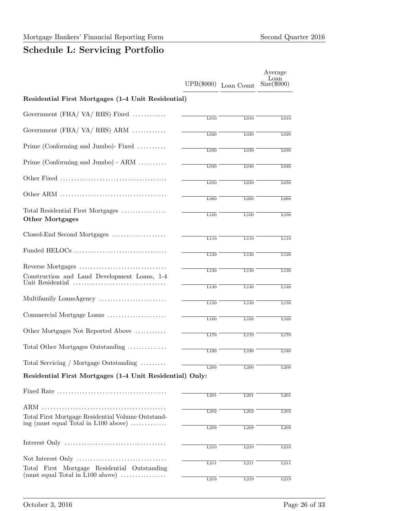## Schedule L: Servicing Portfolio

|                                                                                                                    | UPB(\$000)        | Loan Count        | Average<br>Loan<br>$Size(\$000)$ |
|--------------------------------------------------------------------------------------------------------------------|-------------------|-------------------|----------------------------------|
| Residential First Mortgages (1-4 Unit Residential)                                                                 |                   |                   |                                  |
| Government (FHA/VA/RHS) Fixed                                                                                      | L <sub>010</sub>  | L <sub>010</sub>  | L <sub>010</sub>                 |
| Government $(FHA / VA / RHS)$ ARM                                                                                  | $\overline{L020}$ | L020              | L020                             |
| Prime (Conforming and Jumbo)- Fixed                                                                                | L030              | L030              | L030                             |
| Prime (Conforming and Jumbo) - $ARM$                                                                               | L040              | L040              | L040                             |
|                                                                                                                    |                   |                   |                                  |
|                                                                                                                    | L050              | L050              | L050                             |
|                                                                                                                    | L060              | L060              | L060                             |
| Total Residential First Mortgages<br><b>Other Mortgages</b>                                                        | L100              | L100              | L100                             |
| Closed-End Second Mortgages                                                                                        | L110              | $\overline{L110}$ | L110                             |
|                                                                                                                    | L120              | L120              | L120                             |
|                                                                                                                    | L130              | L130              | $\overline{L130}$                |
| Construction and Land Development Loans, 1-4                                                                       |                   |                   |                                  |
|                                                                                                                    | L140              | L140              | L140                             |
| Multifamily LoansAgency                                                                                            | L150              | L150              | L150                             |
| Commercial Mortgage Loans                                                                                          | L160              | L160              | L160                             |
| Other Mortgages Not Reported Above                                                                                 | L170              | L170              | L170                             |
| Total Other Mortgages Outstanding                                                                                  | L180              | L180              | L180                             |
| Total Servicing / Mortgage Outstanding                                                                             | L200              | L200              | L200                             |
| Residential First Mortgages (1-4 Unit Residential) Only:                                                           |                   |                   |                                  |
|                                                                                                                    | L201              | L201              | L201                             |
|                                                                                                                    | L202              | L202              | $\overline{L2}02$                |
| Total First Mortgage Residential Volume Outstand-<br>ing (must equal Total in $L100$ above) $\dots\dots\dots\dots$ |                   |                   |                                  |
|                                                                                                                    | L209              | L209              | L209                             |
|                                                                                                                    | L210              | L210              | L210                             |
|                                                                                                                    | L211              | L211              | L211                             |
| Total First Mortgage Residential Outstanding<br>(must equal Total in $L100$ above) $\dots\dots\dots\dots\dots$     |                   |                   |                                  |
|                                                                                                                    | L219              | L219              | L219                             |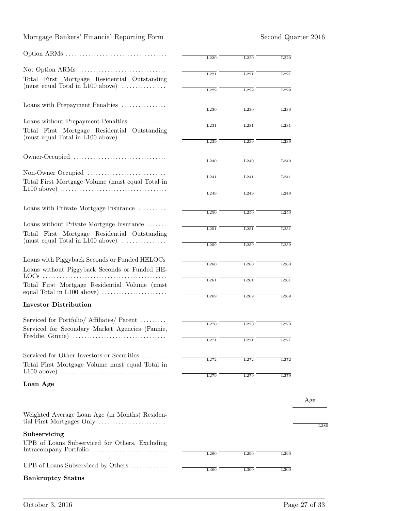#### Mortgage Bankers' Financial Reporting Form Second Quarter 2016

|                                                                                                                               | L220 | L220             | L220             |
|-------------------------------------------------------------------------------------------------------------------------------|------|------------------|------------------|
|                                                                                                                               | L221 | L221             | L221             |
| Total First Mortgage Residential Outstanding<br>$(must equal Total in L100 above)$                                            |      |                  |                  |
|                                                                                                                               | L229 | L229             | L229             |
| Loans with Prepayment Penalties                                                                                               | L230 | L230             | L230             |
| Loans without Prepayment Penalties                                                                                            | L231 | L231             | L231             |
| Total First Mortgage Residential Outstanding<br>(must equal Total in $L100$ above) $\dots\dots\dots\dots\dots$                |      |                  |                  |
|                                                                                                                               | L239 | L239             | L239             |
|                                                                                                                               | L240 | L240             | L240             |
| Non-Owner Occupied                                                                                                            |      |                  |                  |
| Total First Mortgage Volume (must equal Total in                                                                              | L241 | L241             | L241             |
| $L100$ above) $\ldots \ldots \ldots \ldots \ldots \ldots \ldots \ldots \ldots \ldots \ldots$                                  | L249 | L249             | L249             |
| Loans with Private Mortgage Insurance                                                                                         |      |                  |                  |
|                                                                                                                               | L250 | L250             | L250             |
| Loans without Private Mortgage Insurance                                                                                      | L251 | L251             | L251             |
| Total First Mortgage Residential Outstanding                                                                                  |      |                  |                  |
| (must equal Total in L100 above) $\dots\dots\dots\dots\dots$                                                                  | L259 | L259             | L259             |
| Loans with Piggyback Seconds or Funded HELOCs                                                                                 |      |                  |                  |
| Loans without Piggyback Seconds or Funded HE-                                                                                 | L260 | L260             | L <sub>260</sub> |
|                                                                                                                               | L261 | L261             | L261             |
| Total First Mortgage Residential Volume (must<br>equal Total in $L100$ above) $\dots\dots\dots\dots\dots\dots\dots\dots\dots$ |      |                  |                  |
| <b>Investor Distribution</b>                                                                                                  | L269 | L269             | L269             |
|                                                                                                                               |      |                  |                  |
| Serviced for Portfolio/ Affiliates/ Parent                                                                                    | L270 | L270             | L270             |
| Serviced for Secondary Market Agencies (Fannie,                                                                               |      |                  |                  |
|                                                                                                                               | L271 | L <sub>271</sub> | L <sub>271</sub> |
| Serviced for Other Investors or Securities                                                                                    |      |                  |                  |
| Total First Mortgage Volume must equal Total in                                                                               | L272 | L272             | L272             |
|                                                                                                                               | L279 | L279             | L279             |
| Loan Age                                                                                                                      |      |                  |                  |
|                                                                                                                               |      |                  |                  |
| Weighted Average Loan Age (in Months) Residen-                                                                                |      |                  |                  |
| Subservicing                                                                                                                  |      |                  |                  |
| UPB of Loans Subserviced for Others, Excluding                                                                                |      |                  |                  |
|                                                                                                                               | L290 | L290             | L290             |
| UPB of Loans Subserviced by Others                                                                                            | L300 | L300             | L300             |
| <b>Bankruptcy Status</b>                                                                                                      |      |                  |                  |
|                                                                                                                               |      |                  |                  |

Age

 $\overline{\text{L}280}$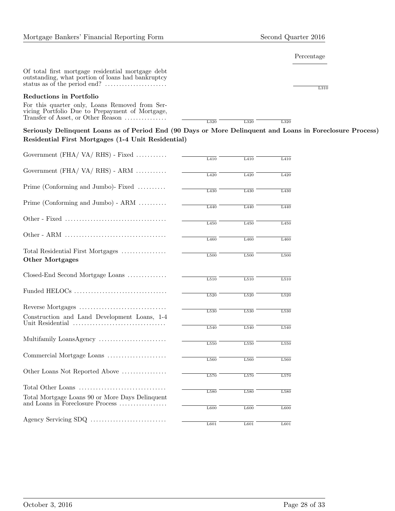#### Percentage

Of total first mortgage residential mortgage debt outstanding, what portion of loans had bankruptcy status as of the period end? . . . . . . . . . . . . . . . . . . . . . .

#### Reductions in Portfolio

For this quarter only, Loans Removed from Servicing Portfolio Due to Prepayment of Mortgage, Transfer of Asset, or Other Reason .................

L310

 $\begin{array}{c|c} \hline \text{L320} & \text{L320} \end{array}$ 

Seriously Delinquent Loans as of Period End (90 Days or More Delinquent and Loans in Foreclosure Process) Residential First Mortgages (1-4 Unit Residential)

| Government $(FHA / VA / RHS)$ - Fixed                            |      |      |                  |
|------------------------------------------------------------------|------|------|------------------|
|                                                                  | L410 | L410 | L410             |
| Government $(FHA / VA / RHS) - ARM$                              | L420 | L420 | L420             |
|                                                                  |      |      |                  |
| Prime (Conforming and Jumbo)- Fixed                              | L430 | L430 | L430             |
| Prime (Conforming and Jumbo) - $ARM$                             |      |      |                  |
|                                                                  | L440 | L440 | L440             |
|                                                                  | L450 | L450 | L450             |
|                                                                  |      |      |                  |
|                                                                  | L460 | L460 | L460             |
| Total Residential First Mortgages                                |      |      |                  |
| <b>Other Mortgages</b>                                           | L500 | L500 | L500             |
|                                                                  |      |      |                  |
| Closed-End Second Mortgage Loans                                 | L510 | L510 | L510             |
| Funded HELOCs                                                    |      |      |                  |
|                                                                  | L520 | L520 | L520             |
|                                                                  | L530 | L530 | L530             |
| Construction and Land Development Loans, 1-4<br>Unit Residential |      |      |                  |
|                                                                  | L540 | L540 | L540             |
| Multifamily LoansAgency                                          | L550 | L550 | L550             |
|                                                                  |      |      |                  |
| Commercial Mortgage Loans                                        | L560 | L560 | L <sub>560</sub> |
| Other Loans Not Reported Above                                   |      |      |                  |
|                                                                  | L570 | L570 | L570             |
|                                                                  | L580 | L580 | L580             |
| Total Mortgage Loans 90 or More Days Delinquent                  |      |      |                  |
| and Loans in Foreclosure Process                                 | L600 | L600 | L600             |
|                                                                  |      |      |                  |
|                                                                  | L601 | L601 | L601             |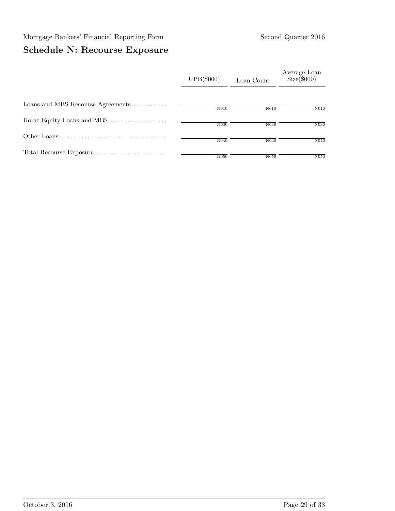# Schedule N: Recourse Exposure

|                                   | UPB(\$000) | Loan Count       | Average Loan<br>$Size(\$000)$ |
|-----------------------------------|------------|------------------|-------------------------------|
| Loans and MBS Recourse Agreements | N010       | N010             | N010                          |
| Home Equity Loans and MBS         | N030       | N030             | N030                          |
|                                   | N040       | N <sub>040</sub> | N <sub>040</sub>              |
|                                   | N050       | N050             | N050                          |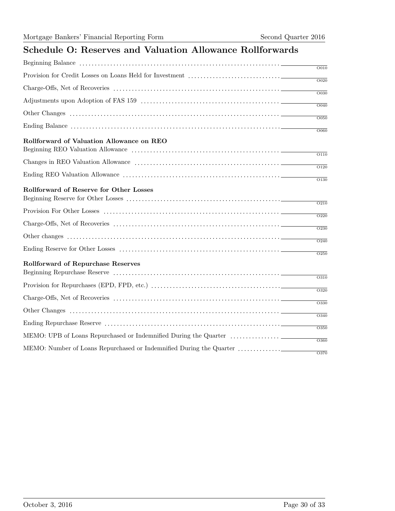## Schedule O: Reserves and Valuation Allowance Rollforwards

|                                           | $\overline{O010}$ |
|-------------------------------------------|-------------------|
|                                           |                   |
|                                           | $\overline{O020}$ |
|                                           | $\overline{O030}$ |
|                                           | $\overline{O040}$ |
|                                           | $\overline{O050}$ |
|                                           | $\overline{OO60}$ |
| Rollforward of Valuation Allowance on REO |                   |
|                                           | $\overline{O110}$ |
|                                           | $\overline{O120}$ |
|                                           | $\overline{O130}$ |
| Rollforward of Reserve for Other Losses   |                   |
|                                           | $\overline{O210}$ |
|                                           | $\overline{O220}$ |
|                                           | $\overline{O230}$ |
|                                           | $\overline{O240}$ |
|                                           | $\overline{O250}$ |
| Rollforward of Repurchase Reserves        |                   |
|                                           | $\overline{O310}$ |
|                                           | $\overline{O320}$ |
|                                           | O330              |
|                                           | $\overline{O340}$ |
|                                           | $\overline{O350}$ |
|                                           | O360              |
|                                           | O370              |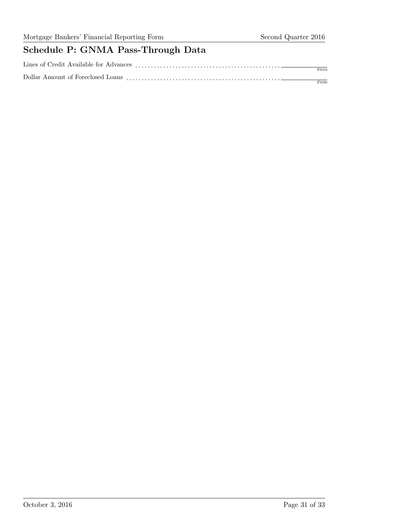# Schedule P: GNMA Pass-Through Data

| Lines of Credit Available for Advances |                  |
|----------------------------------------|------------------|
|                                        | P <sub>010</sub> |
| Dollar Amount of Foreclosed Loans      |                  |
|                                        | P030             |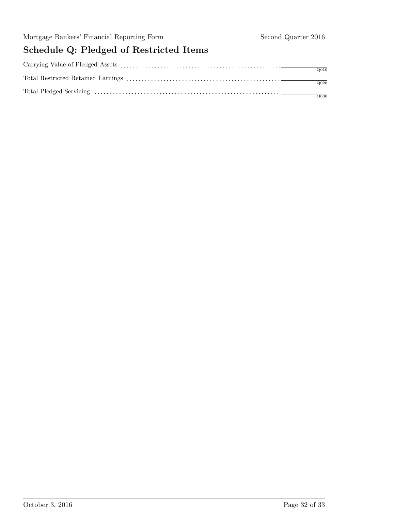# Schedule Q: Pledged of Restricted Items

| O(0.20) |
|---------|
|         |
| Q030    |